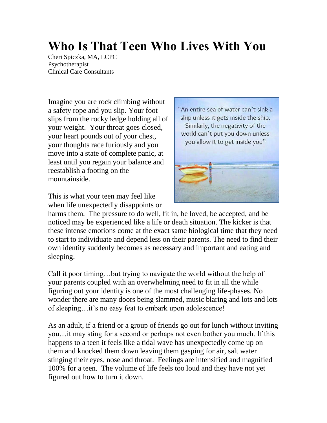## **Who Is That Teen Who Lives With You**

Cheri Spiczka, MA, LCPC Psychotherapist Clinical Care Consultants

Imagine you are rock climbing without a safety rope and you slip. Your foot slips from the rocky ledge holding all of your weight. Your throat goes closed, your heart pounds out of your chest, your thoughts race furiously and you move into a state of complete panic, at least until you regain your balance and reestablish a footing on the mountainside.

This is what your teen may feel like when life unexpectedly disappoints or



harms them. The pressure to do well, fit in, be loved, be accepted, and be noticed may be experienced like a life or death situation. The kicker is that these intense emotions come at the exact same biological time that they need to start to individuate and depend less on their parents. The need to find their own identity suddenly becomes as necessary and important and eating and sleeping.

Call it poor timing…but trying to navigate the world without the help of your parents coupled with an overwhelming need to fit in all the while figuring out your identity is one of the most challenging life-phases. No wonder there are many doors being slammed, music blaring and lots and lots of sleeping…it's no easy feat to embark upon adolescence!

As an adult, if a friend or a group of friends go out for lunch without inviting you…it may sting for a second or perhaps not even bother you much. If this happens to a teen it feels like a tidal wave has unexpectedly come up on them and knocked them down leaving them gasping for air, salt water stinging their eyes, nose and throat. Feelings are intensified and magnified 100% for a teen. The volume of life feels too loud and they have not yet figured out how to turn it down.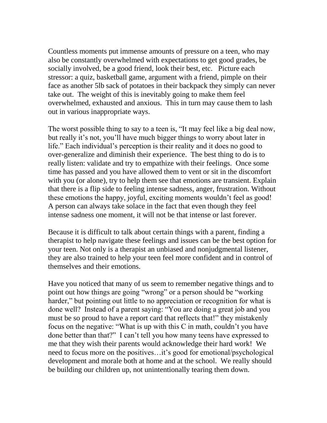Countless moments put immense amounts of pressure on a teen, who may also be constantly overwhelmed with expectations to get good grades, be socially involved, be a good friend, look their best, etc. Picture each stressor: a quiz, basketball game, argument with a friend, pimple on their face as another 5lb sack of potatoes in their backpack they simply can never take out. The weight of this is inevitably going to make them feel overwhelmed, exhausted and anxious. This in turn may cause them to lash out in various inappropriate ways.

The worst possible thing to say to a teen is, "It may feel like a big deal now, but really it's not, you'll have much bigger things to worry about later in life." Each individual's perception is their reality and it does no good to over-generalize and diminish their experience. The best thing to do is to really listen: validate and try to empathize with their feelings. Once some time has passed and you have allowed them to vent or sit in the discomfort with you (or alone), try to help them see that emotions are transient. Explain that there is a flip side to feeling intense sadness, anger, frustration. Without these emotions the happy, joyful, exciting moments wouldn't feel as good! A person can always take solace in the fact that even though they feel intense sadness one moment, it will not be that intense or last forever.

Because it is difficult to talk about certain things with a parent, finding a therapist to help navigate these feelings and issues can be the best option for your teen. Not only is a therapist an unbiased and nonjudgmental listener, they are also trained to help your teen feel more confident and in control of themselves and their emotions.

Have you noticed that many of us seem to remember negative things and to point out how things are going "wrong" or a person should be "working harder," but pointing out little to no appreciation or recognition for what is done well? Instead of a parent saying: "You are doing a great job and you must be so proud to have a report card that reflects that!" they mistakenly focus on the negative: "What is up with this C in math, couldn't you have done better than that?" I can't tell you how many teens have expressed to me that they wish their parents would acknowledge their hard work! We need to focus more on the positives…it's good for emotional/psychological development and morale both at home and at the school. We really should be building our children up, not unintentionally tearing them down.